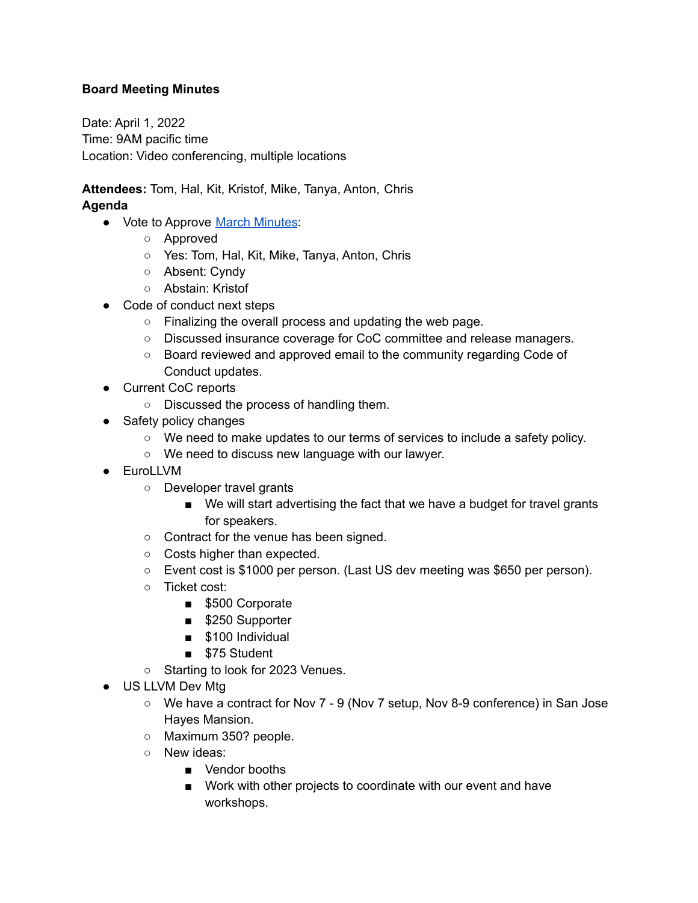## **Board Meeting Minutes**

Date: April 1, 2022 Time: 9AM pacific time Location: Video conferencing, multiple locations

**Attendees:** Tom, Hal, Kit, Kristof, Mike, Tanya, Anton, Chris **Agenda**

- Vote to Approve March [Minutes](https://foundation.llvm.org/documents/minutes/2022-03-04-Meeting-Minutes.pdf):
	- Approved
	- Yes: Tom, Hal, Kit, Mike, Tanya, Anton, Chris
	- Absent: Cyndy
	- Abstain: Kristof
- Code of conduct next steps
	- Finalizing the overall process and updating the web page.
	- Discussed insurance coverage for CoC committee and release managers.
	- Board reviewed and approved email to the community regarding Code of Conduct updates.
- Current CoC reports
	- Discussed the process of handling them.
- Safety policy changes
	- We need to make updates to our terms of services to include a safety policy.
	- We need to discuss new language with our lawyer.
- EuroLLVM
	- Developer travel grants
		- We will start advertising the fact that we have a budget for travel grants for speakers.
	- Contract for the venue has been signed.
	- Costs higher than expected.
	- Event cost is \$1000 per person. (Last US dev meeting was \$650 per person).
	- Ticket cost:
		- \$500 Corporate
		- \$250 Supporter
		- \$100 Individual
		- \$75 Student
	- Starting to look for 2023 Venues.
- US LLVM Dev Mtg
	- We have a contract for Nov 7 9 (Nov 7 setup, Nov 8-9 conference) in San Jose Hayes Mansion.
	- Maximum 350? people.
	- New ideas:
		- Vendor booths
		- Work with other projects to coordinate with our event and have workshops.